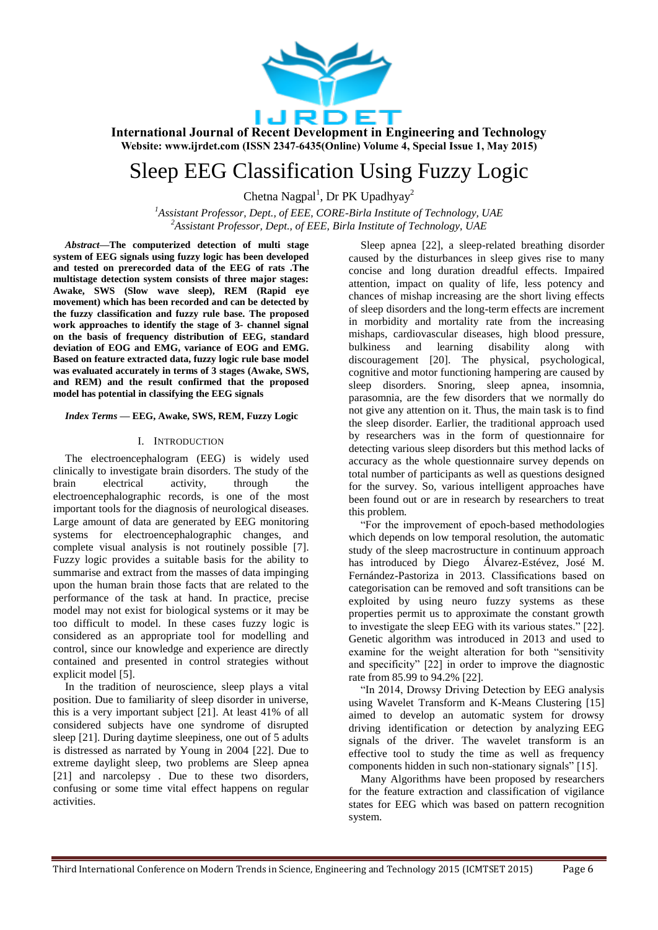

# Sleep EEG Classification Using Fuzzy Logic

Chetna Nagpal<sup>1</sup>, Dr PK Upadhyay<sup>2</sup>

*<sup>1</sup>Assistant Professor, Dept., of EEE, CORE-Birla Institute of Technology, UAE <sup>2</sup>Assistant Professor, Dept., of EEE, Birla Institute of Technology, UAE*

*Abstract—***The computerized detection of multi stage system of EEG signals using fuzzy logic has been developed and tested on prerecorded data of the EEG of rats .The multistage detection system consists of three major stages: Awake, SWS (Slow wave sleep), REM (Rapid eye movement) which has been recorded and can be detected by the fuzzy classification and fuzzy rule base. The proposed work approaches to identify the stage of 3- channel signal on the basis of frequency distribution of EEG, standard deviation of EOG and EMG, variance of EOG and EMG. Based on feature extracted data, fuzzy logic rule base model was evaluated accurately in terms of 3 stages (Awake, SWS, and REM) and the result confirmed that the proposed model has potential in classifying the EEG signals**

## *Index Terms —* **EEG, Awake, SWS, REM, Fuzzy Logic**

#### I. INTRODUCTION

The electroencephalogram (EEG) is widely used clinically to investigate brain disorders. The study of the brain electrical activity, through the electroencephalographic records, is one of the most important tools for the diagnosis of neurological diseases. Large amount of data are generated by EEG monitoring systems for electroencephalographic changes, and complete visual analysis is not routinely possible [7]. Fuzzy logic provides a suitable basis for the ability to summarise and extract from the masses of data impinging upon the human brain those facts that are related to the performance of the task at hand. In practice, precise model may not exist for biological systems or it may be too difficult to model. In these cases fuzzy logic is considered as an appropriate tool for modelling and control, since our knowledge and experience are directly contained and presented in control strategies without explicit model [5].

In the tradition of neuroscience, sleep plays a vital position. Due to familiarity of sleep disorder in universe, this is a very important subject [21]. At least 41% of all considered subjects have one syndrome of disrupted sleep [21]. During daytime sleepiness, one out of 5 adults is distressed as narrated by Young in 2004 [22]. Due to extreme daylight sleep, two problems are Sleep apnea [21] and narcolepsy . Due to these two disorders, confusing or some time vital effect happens on regular activities.

Sleep apnea [22], a sleep-related breathing disorder caused by the disturbances in sleep gives rise to many concise and long duration dreadful effects. Impaired attention, impact on quality of life, less potency and chances of mishap increasing are the short living effects of sleep disorders and the long-term effects are increment in morbidity and mortality rate from the increasing mishaps, cardiovascular diseases, high blood pressure, bulkiness and learning disability along with discouragement [20]. The physical, psychological, cognitive and motor functioning hampering are caused by sleep disorders. Snoring, sleep apnea, insomnia, parasomnia, are the few disorders that we normally do not give any attention on it. Thus, the main task is to find the sleep disorder. Earlier, the traditional approach used by researchers was in the form of questionnaire for detecting various sleep disorders but this method lacks of accuracy as the whole questionnaire survey depends on total number of participants as well as questions designed for the survey. So, various intelligent approaches have been found out or are in research by researchers to treat this problem.

"For the improvement of epoch-based methodologies which depends on low temporal resolution, the automatic study of the sleep macrostructure in continuum approach has introduced by Diego Álvarez-Estévez, José M. Fernández-Pastoriza in 2013. Classifications based on categorisation can be removed and soft transitions can be exploited by using neuro fuzzy systems as these properties permit us to approximate the constant growth to investigate the sleep EEG with its various states." [22]. Genetic algorithm was introduced in 2013 and used to examine for the weight alteration for both "sensitivity and specificity" [22] in order to improve the diagnostic rate from 85.99 to 94.2% [22].

"In 2014, Drowsy Driving Detection by EEG analysis using Wavelet Transform and K-Means Clustering [15] aimed to develop an automatic system for drowsy driving identification or detection by analyzing EEG signals of the driver. The wavelet transform is an effective tool to study the time as well as frequency components hidden in such non-stationary signals" [15].

Many Algorithms have been proposed by researchers for the feature extraction and classification of vigilance states for EEG which was based on pattern recognition system.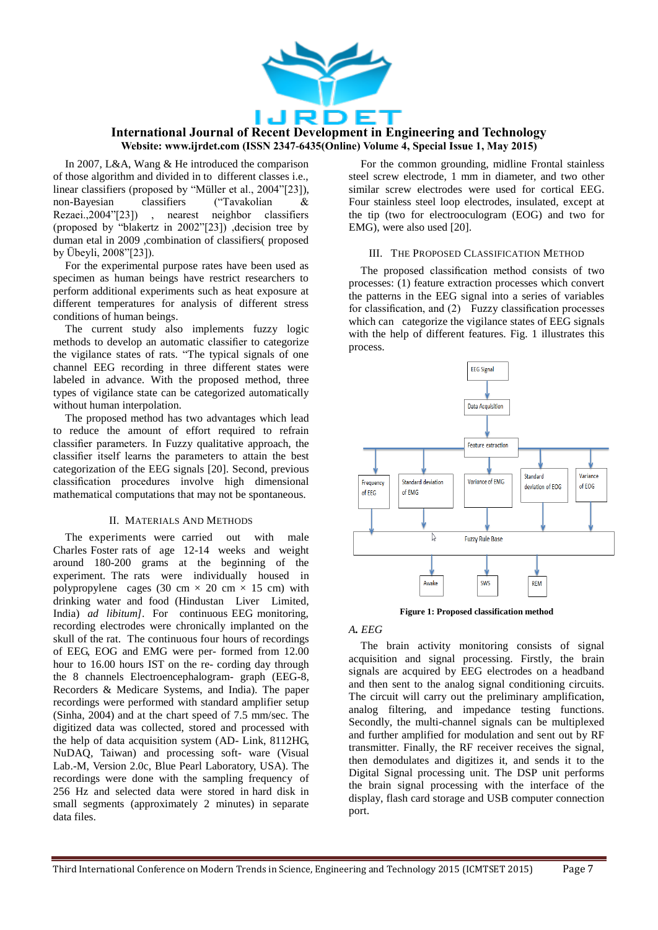

In 2007, L&A, Wang & He introduced the comparison of those algorithm and divided in to different classes i.e., linear classifiers (proposed by "Müller et al., 2004"[23]),<br>non-Bayesian classifiers ("Tavakolian & non-Bayesian classifiers ("Tavakolian & Rezaei.,2004"[23]) , nearest neighbor classifiers (proposed by "blakertz in 2002"[23]) ,decision tree by duman etal in 2009 ,combination of classifiers( proposed by Übeyli, 2008"[23]).

For the experimental purpose rates have been used as specimen as human beings have restrict researchers to perform additional experiments such as heat exposure at different temperatures for analysis of different stress conditions of human beings.

The current study also implements fuzzy logic methods to develop an automatic classifier to categorize the vigilance states of rats. "The typical signals of one channel EEG recording in three different states were labeled in advance. With the proposed method, three types of vigilance state can be categorized automatically without human interpolation.

The proposed method has two advantages which lead to reduce the amount of effort required to refrain classifier parameters. In Fuzzy qualitative approach, the classifier itself learns the parameters to attain the best categorization of the EEG signals [20]. Second, previous classification procedures involve high dimensional mathematical computations that may not be spontaneous.

## II. MATERIALS AND METHODS

The experiments were carried out with male Charles Foster rats of age 12-14 weeks and weight around 180-200 grams at the beginning of the experiment. The rats were individually housed in polypropylene cages (30 cm  $\times$  20 cm  $\times$  15 cm) with drinking water and food (Hindustan Liver Limited, India) *ad libitum]*. For continuous EEG monitoring, recording electrodes were chronically implanted on the skull of the rat. The continuous four hours of recordings of EEG, EOG and EMG were per- formed from 12.00 hour to 16.00 hours IST on the re- cording day through the 8 channels Electroencephalogram- graph (EEG-8, Recorders & Medicare Systems, and India). The paper recordings were performed with standard amplifier setup (Sinha, 2004) and at the chart speed of 7.5 mm/sec. The digitized data was collected, stored and processed with the help of data acquisition system (AD- Link, 8112HG, NuDAQ, Taiwan) and processing soft- ware (Visual Lab.-M, Version 2.0c, Blue Pearl Laboratory, USA). The recordings were done with the sampling frequency of 256 Hz and selected data were stored in hard disk in small segments (approximately 2 minutes) in separate data files.

For the common grounding, midline Frontal stainless steel screw electrode, 1 mm in diameter, and two other similar screw electrodes were used for cortical EEG. Four stainless steel loop electrodes, insulated, except at the tip (two for electrooculogram (EOG) and two for EMG), were also used [20].

## III. THE PROPOSED CLASSIFICATION METHOD

The proposed classification method consists of two processes: (1) feature extraction processes which convert the patterns in the EEG signal into a series of variables for classification, and (2) Fuzzy classification processes which can categorize the vigilance states of EEG signals with the help of different features. Fig. 1 illustrates this process.



**Figure 1: Proposed classification method**

## *A. EEG*

The brain activity monitoring consists of signal acquisition and signal processing. Firstly, the brain signals are acquired by EEG electrodes on a headband and then sent to the analog signal conditioning circuits. The circuit will carry out the preliminary amplification, analog filtering, and impedance testing functions. Secondly, the multi-channel signals can be multiplexed and further amplified for modulation and sent out by RF transmitter. Finally, the RF receiver receives the signal, then demodulates and digitizes it, and sends it to the Digital Signal processing unit. The DSP unit performs the brain signal processing with the interface of the display, flash card storage and USB computer connection port.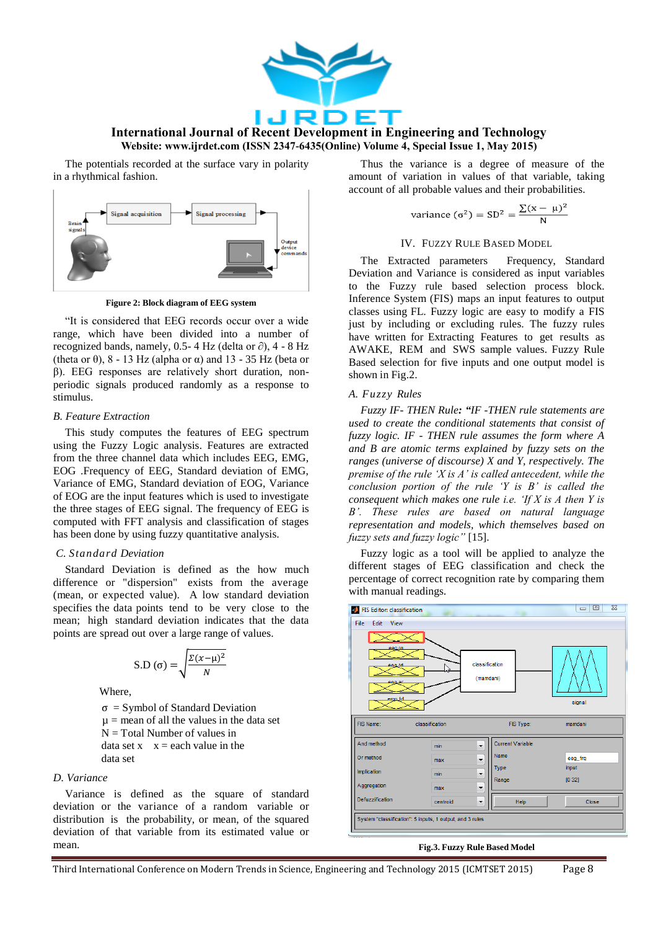

The potentials recorded at the surface vary in polarity in a rhythmical fashion.



**Figure 2: Block diagram of EEG system**

"It is considered that EEG records occur over a wide range, which have been divided into a number of recognized bands, namely, 0.5- 4 Hz (delta or  $\partial$ ), 4 - 8 Hz (theta or  $\theta$ ),  $8 - 13$  Hz (alpha or  $\alpha$ ) and 13 - 35 Hz (beta or β). EEG responses are relatively short duration, nonperiodic signals produced randomly as a response to stimulus.

## *B. Feature Extraction*

This study computes the features of EEG spectrum using the Fuzzy Logic analysis. Features are extracted from the three channel data which includes EEG, EMG, EOG .Frequency of EEG, Standard deviation of EMG, Variance of EMG, Standard deviation of EOG, Variance of EOG are the input features which is used to investigate the three stages of EEG signal. The frequency of EEG is computed with FFT analysis and classification of stages has been done by using fuzzy quantitative analysis.

## *C. Standard Deviation*

Standard Deviation is defined as the how much difference or "dispersion" exists from the average (mean, or expected value). A low standard deviation specifies the data points tend to be very close to the mean; high standard deviation indicates that the data points are spread out over a large range of values.

$$
S.D.(\sigma) = \sqrt{\frac{\Sigma(x-\mu)^2}{N}}
$$

Where,

 $\sigma$  = Symbol of Standard Deviation  $\mu$  = mean of all the values in the data set  $N = Total Number of values in$ data set  $x \equiv x =$  each value in the data set

# *D. Variance*

Variance is defined as the square of standard deviation or the variance of a random variable or distribution is the probability, or mean, of the squared deviation of that variable from its estimated value or mean.

Thus the variance is a degree of measure of the amount of variation in values of that variable, taking account of all probable values and their probabilities.

variance (
$$
\sigma^2
$$
) = SD<sup>2</sup> =  $\frac{\sum (x - \mu)^2}{N}$ 

## IV. FUZZY RULE BASED MODEL

The Extracted parameters Frequency, Standard Deviation and Variance is considered as input variables to the Fuzzy rule based selection process block. Inference System (FIS) maps an input features to output classes using FL. Fuzzy logic are easy to modify a FIS just by including or excluding rules. The fuzzy rules have written for Extracting Features to get results as AWAKE, REM and SWS sample values. Fuzzy Rule Based selection for five inputs and one output model is shown in Fig.2.

## *A. Fuzzy Rules*

*Fuzzy IF- THEN Rule: "IF -THEN rule statements are used to create the conditional statements that consist of fuzzy logic. IF - THEN rule assumes the form where A and B are atomic terms explained by fuzzy sets on the ranges (universe of discourse) X and Y, respectively. The premise of the rule 'X is A' is called antecedent, while the conclusion portion of the rule 'Y is B' is called the consequent which makes one rule i.e. 'If X is A then Y is B'. These rules are based on natural language representation and models, which themselves based on fuzzy sets and fuzzy logic"* [15].

Fuzzy logic as a tool will be applied to analyze the different stages of EEG classification and check the percentage of correct recognition rate by comparing them with manual readings.



## **Fig.3. Fuzzy Rule Based Model**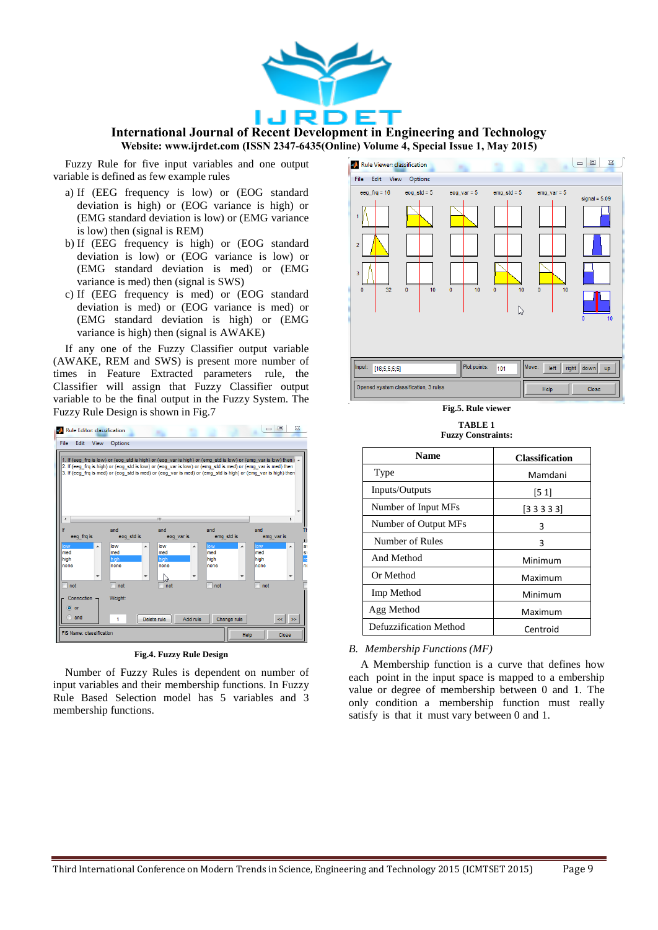

Fuzzy Rule for five input variables and one output variable is defined as few example rules

- a) If (EEG frequency is low) or (EOG standard deviation is high) or (EOG variance is high) or (EMG standard deviation is low) or (EMG variance is low) then (signal is REM)
- b) If (EEG frequency is high) or (EOG standard deviation is low) or (EOG variance is low) or (EMG standard deviation is med) or (EMG variance is med) then (signal is SWS)
- c) If (EEG frequency is med) or (EOG standard deviation is med) or (EOG variance is med) or (EMG standard deviation is high) or (EMG variance is high) then (signal is AWAKE)

If any one of the Fuzzy Classifier output variable (AWAKE, REM and SWS) is present more number of times in Feature Extracted parameters rule, the Classifier will assign that Fuzzy Classifier output variable to be the final output in the Fuzzy System. The Fuzzy Rule Design is shown in Fig.7



**Fig.4. Fuzzy Rule Design**

Number of Fuzzy Rules is dependent on number of input variables and their membership functions. In Fuzzy Rule Based Selection model has 5 variables and 3 membership functions.



**Fig.5. Rule viewer**

**TABLE 1 Fuzzy Constraints:**

| <b>Name</b>            | <b>Classification</b> |
|------------------------|-----------------------|
| Type                   | Mamdani               |
| Inputs/Outputs         | [51]                  |
| Number of Input MFs    | [33333]               |
| Number of Output MFs   | 3                     |
| Number of Rules        | 3                     |
| And Method             | Minimum               |
| Or Method              | Maximum               |
| Imp Method             | Minimum               |
| Agg Method             | Maximum               |
| Defuzzification Method | Centroid              |

*B. Membership Functions (MF)*

A Membership function is a curve that defines how each point in the input space is mapped to a embership value or degree of membership between 0 and 1. The only condition a membership function must really satisfy is that it must vary between 0 and 1.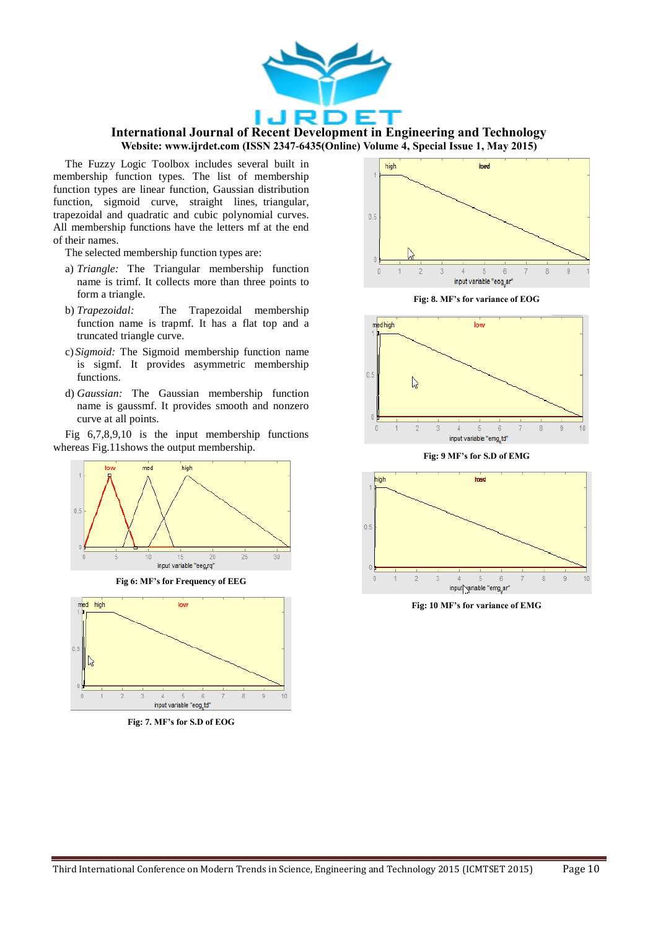

The Fuzzy Logic Toolbox includes several built in membership function types. The list of membership function types are linear function, Gaussian distribution function, sigmoid curve, straight lines, triangular, trapezoidal and quadratic and cubic polynomial curves. All membership functions have the letters mf at the end of their names.

The selected membership function types are:

- a) *Triangle:* The Triangular membership function name is trimf. It collects more than three points to form a triangle.
- b) *Trapezoidal:* The Trapezoidal membership function name is trapmf. It has a flat top and a truncated triangle curve.
- c) *Sigmoid:* The Sigmoid membership function name is sigmf. It provides asymmetric membership functions.
- d) *Gaussian:* The Gaussian membership function name is gaussmf. It provides smooth and nonzero curve at all points.

Fig 6,7,8,9,10 is the input membership functions whereas Fig.11shows the output membership.



**Fig 6: MF's for Frequency of EEG**



**Fig: 7. MF's for S.D of EOG**



**Fig: 8. MF's for variance of EOG**



**Fig: 9 MF's for S.D of EMG**



**Fig: 10 MF's for variance of EMG**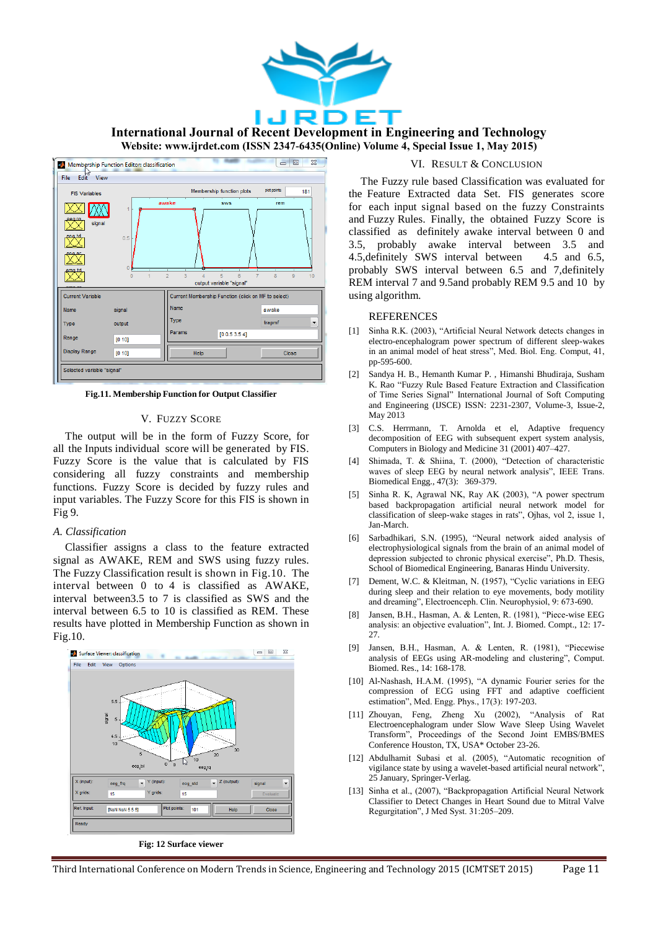

**International Journal of Recent Development in Engineering and Technology Website: www.ijrdet.com (ISSN 2347-6435(Online) Volume 4, Special Issue 1, May 2015)**



**Fig.11. Membership Function for Output Classifier**

## V. FUZZY SCORE

The output will be in the form of Fuzzy Score, for all the Inputs individual score will be generated by FIS. Fuzzy Score is the value that is calculated by FIS considering all fuzzy constraints and membership functions. Fuzzy Score is decided by fuzzy rules and input variables. The Fuzzy Score for this FIS is shown in Fig 9.

#### *A. Classification*

Classifier assigns a class to the feature extracted signal as AWAKE, REM and SWS using fuzzy rules. The Fuzzy Classification result is shown in Fig.10. The interval between 0 to 4 is classified as AWAKE, interval between3.5 to 7 is classified as SWS and the interval between 6.5 to 10 is classified as REM. These results have plotted in Membership Function as shown in Fig.10.



**Fig: 12 Surface viewer**

## VI. RESULT & CONCLUSION

The Fuzzy rule based Classification was evaluated for the Feature Extracted data Set. FIS generates score for each input signal based on the fuzzy Constraints and Fuzzy Rules. Finally, the obtained Fuzzy Score is classified as definitely awake interval between 0 and 3.5, probably awake interval between 3.5 and 4.5,definitely SWS interval between 4.5 and 6.5, probably SWS interval between 6.5 and 7,definitely REM interval 7 and 9.5and probably REM 9.5 and 10 by using algorithm.

## REFERENCES

- [1] Sinha R.K. (2003), "Artificial Neural Network detects changes in electro-encephalogram power spectrum of different sleep-wakes in an animal model of heat stress", Med. Biol. Eng. Comput, 41, pp-595-600.
- [2] Sandya H. B., Hemanth Kumar P. , Himanshi Bhudiraja, Susham K. Rao "Fuzzy Rule Based Feature Extraction and Classification of Time Series Signal" International Journal of Soft Computing and Engineering (IJSCE) ISSN: 2231-2307, Volume-3, Issue-2, May 2013
- [3] C.S. Herrmann, T. Arnolda et el, Adaptive frequency decomposition of EEG with subsequent expert system analysis, Computers in Biology and Medicine 31 (2001) 407–427.
- Shimada, T. & Shiina, T. (2000), "Detection of characteristic waves of sleep EEG by neural network analysis", IEEE Trans. Biomedical Engg., 47(3): 369-379.
- [5] Sinha R. K, Agrawal NK, Ray AK (2003), "A power spectrum based backpropagation artificial neural network model for classification of sleep-wake stages in rats", Ojhas, vol 2, issue 1, Jan-March.
- [6] Sarbadhikari, S.N. (1995), "Neural network aided analysis of electrophysiological signals from the brain of an animal model of depression subjected to chronic physical exercise", Ph.D. Thesis, School of Biomedical Engineering, Banaras Hindu University.
- [7] Dement, W.C. & Kleitman, N. (1957), "Cyclic variations in EEG during sleep and their relation to eye movements, body motility and dreaming", Electroenceph. Clin. Neurophysiol, 9: 673-690.
- [8] Jansen, B.H., Hasman, A. & Lenten, R. (1981), "Piece-wise EEG analysis: an objective evaluation", Int. J. Biomed. Compt., 12: 17- 27.
- [9] Jansen, B.H., Hasman, A. & Lenten, R. (1981), "Piecewise analysis of EEGs using AR-modeling and clustering", Comput. Biomed. Res., 14: 168-178.
- [10] Al-Nashash, H.A.M. (1995), "A dynamic Fourier series for the compression of ECG using FFT and adaptive coefficient estimation", Med. Engg. Phys., 17(3): 197-203.
- [11] Zhouyan, Feng, Zheng Xu (2002), "Analysis of Rat Electroencephalogram under Slow Wave Sleep Using Wavelet Transform", Proceedings of the Second Joint EMBS/BMES Conference Houston, TX, USA\* October 23-26.
- [12] Abdulhamit Subasi et al. (2005), "Automatic recognition of vigilance state by using a wavelet-based artificial neural network", 25 January, Springer-Verlag.
- [13] Sinha et al., (2007), "Backpropagation Artificial Neural Network Classifier to Detect Changes in Heart Sound due to Mitral Valve Regurgitation", J Med Syst. 31:205–209.